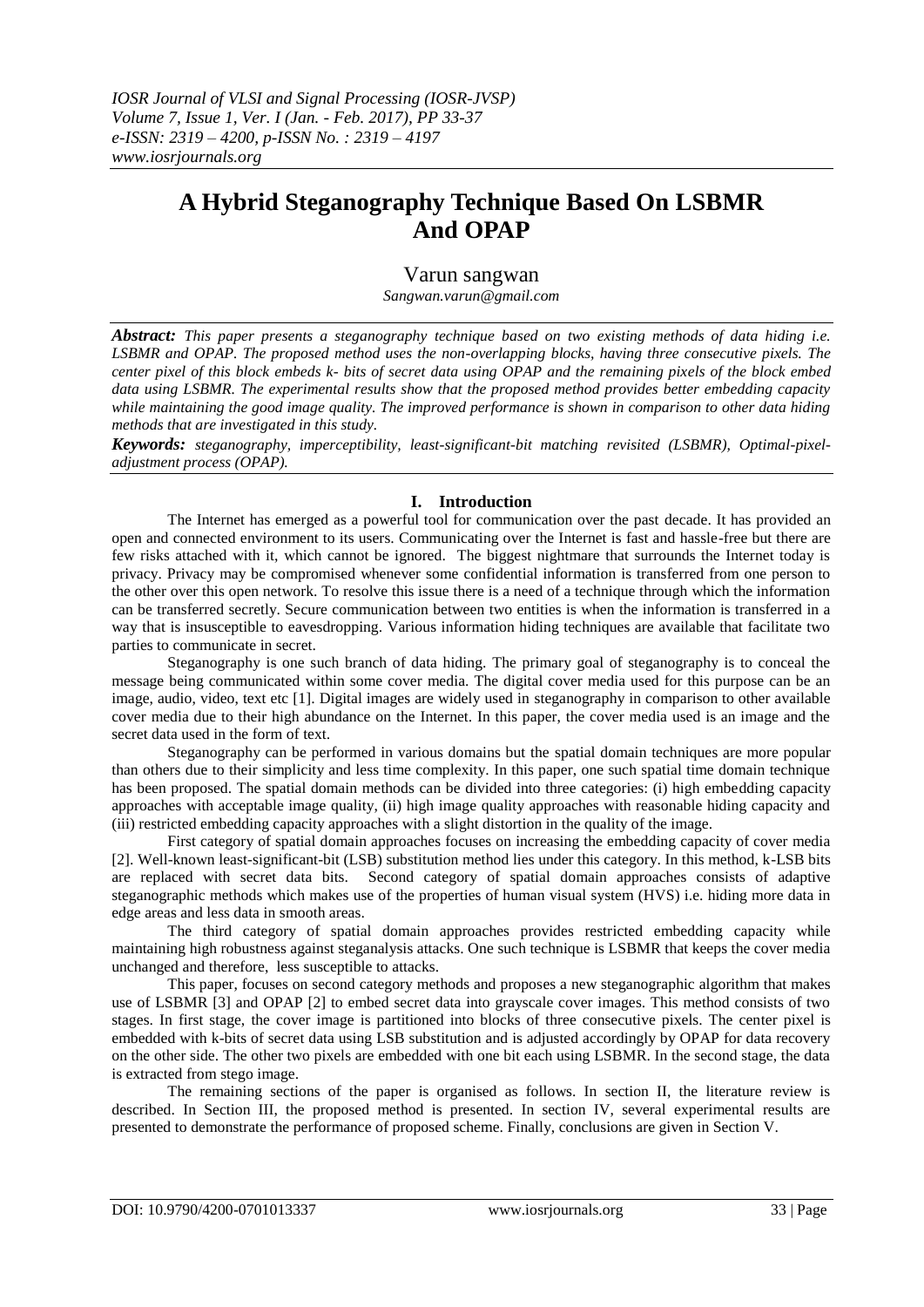# **A Hybrid Steganography Technique Based On LSBMR And OPAP**

# Varun sangwan

*Sangwan.varun@gmail.com*

*Abstract: This paper presents a steganography technique based on two existing methods of data hiding i.e. LSBMR and OPAP. The proposed method uses the non-overlapping blocks, having three consecutive pixels. The center pixel of this block embeds k- bits of secret data using OPAP and the remaining pixels of the block embed data using LSBMR. The experimental results show that the proposed method provides better embedding capacity while maintaining the good image quality. The improved performance is shown in comparison to other data hiding methods that are investigated in this study.* 

*Keywords: steganography, imperceptibility, least-significant-bit matching revisited (LSBMR), Optimal-pixeladjustment process (OPAP).*

# **I. Introduction**

The Internet has emerged as a powerful tool for communication over the past decade. It has provided an open and connected environment to its users. Communicating over the Internet is fast and hassle-free but there are few risks attached with it, which cannot be ignored. The biggest nightmare that surrounds the Internet today is privacy. Privacy may be compromised whenever some confidential information is transferred from one person to the other over this open network. To resolve this issue there is a need of a technique through which the information can be transferred secretly. Secure communication between two entities is when the information is transferred in a way that is insusceptible to eavesdropping. Various information hiding techniques are available that facilitate two parties to communicate in secret.

Steganography is one such branch of data hiding. The primary goal of steganography is to conceal the message being communicated within some cover media. The digital cover media used for this purpose can be an image, audio, video, text etc [1]. Digital images are widely used in steganography in comparison to other available cover media due to their high abundance on the Internet. In this paper, the cover media used is an image and the secret data used in the form of text.

Steganography can be performed in various domains but the spatial domain techniques are more popular than others due to their simplicity and less time complexity. In this paper, one such spatial time domain technique has been proposed. The spatial domain methods can be divided into three categories: (i) high embedding capacity approaches with acceptable image quality, (ii) high image quality approaches with reasonable hiding capacity and (iii) restricted embedding capacity approaches with a slight distortion in the quality of the image.

First category of spatial domain approaches focuses on increasing the embedding capacity of cover media [2]. Well-known least-significant-bit (LSB) substitution method lies under this category. In this method, k-LSB bits are replaced with secret data bits. Second category of spatial domain approaches consists of adaptive steganographic methods which makes use of the properties of human visual system (HVS) i.e. hiding more data in edge areas and less data in smooth areas.

The third category of spatial domain approaches provides restricted embedding capacity while maintaining high robustness against steganalysis attacks. One such technique is LSBMR that keeps the cover media unchanged and therefore, less susceptible to attacks.

This paper, focuses on second category methods and proposes a new steganographic algorithm that makes use of LSBMR [3] and OPAP [2] to embed secret data into grayscale cover images. This method consists of two stages. In first stage, the cover image is partitioned into blocks of three consecutive pixels. The center pixel is embedded with k-bits of secret data using LSB substitution and is adjusted accordingly by OPAP for data recovery on the other side. The other two pixels are embedded with one bit each using LSBMR. In the second stage, the data is extracted from stego image.

The remaining sections of the paper is organised as follows. In section II, the literature review is described. In Section III, the proposed method is presented. In section IV, several experimental results are presented to demonstrate the performance of proposed scheme. Finally, conclusions are given in Section V.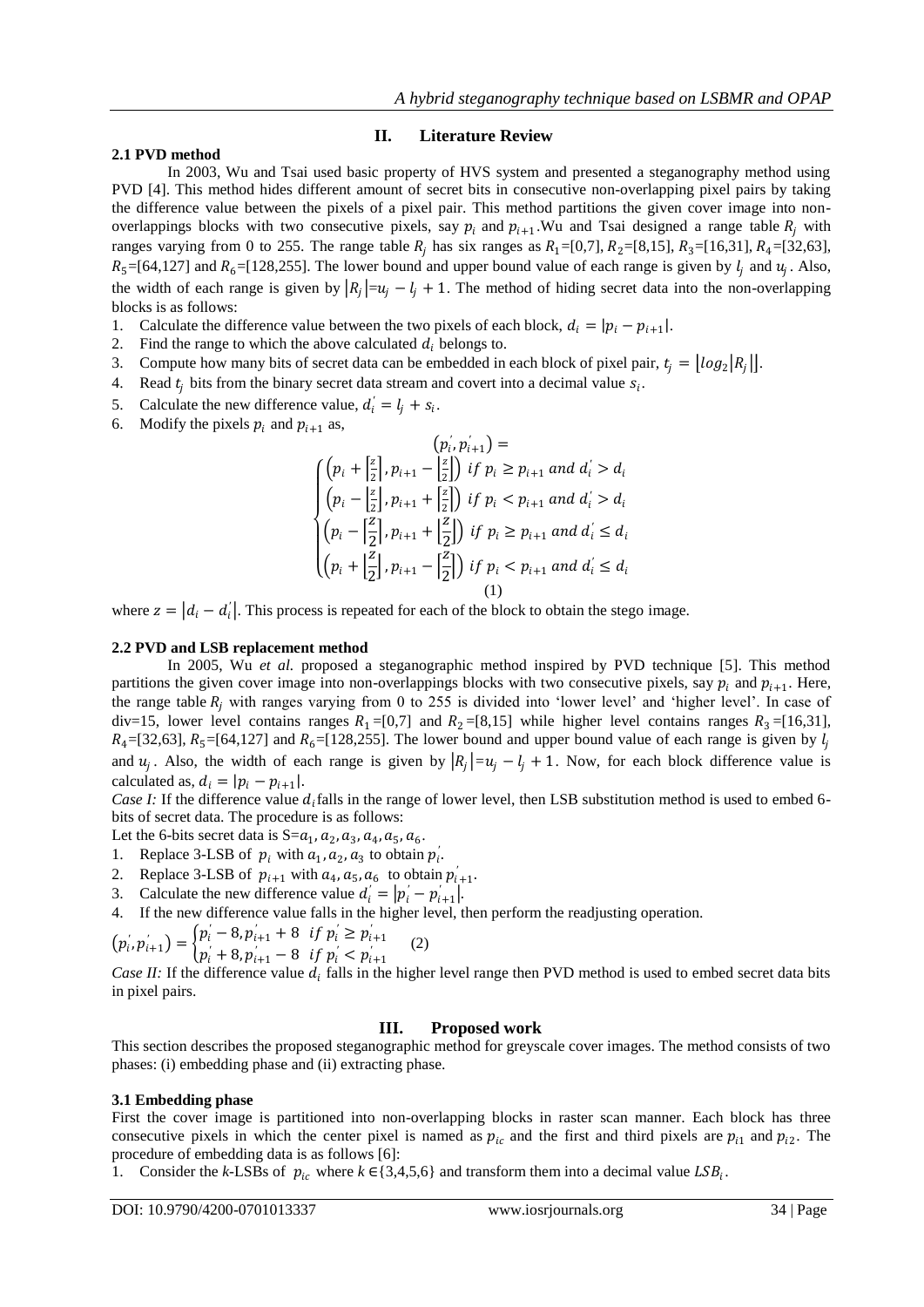# **II. Literature Review**

# **2.1 PVD method**

In 2003, Wu and Tsai used basic property of HVS system and presented a steganography method using PVD [4]. This method hides different amount of secret bits in consecutive non-overlapping pixel pairs by taking the difference value between the pixels of a pixel pair. This method partitions the given cover image into nonoverlappings blocks with two consecutive pixels, say  $p_i$  and  $p_{i+1}$ . Wu and Tsai designed a range table  $R_j$  with ranges varying from 0 to 255. The range table  $R_i$  has six ranges as  $R_1=[0,7]$ ,  $R_2=[8,15]$ ,  $R_3=[16,31]$ ,  $R_4=[32,63]$ ,  $R_5 = [64, 127]$  and  $R_6 = [128, 255]$ . The lower bound and upper bound value of each range is given by  $l_j$  and  $u_j$ . Also, the width of each range is given by  $|R_j|=u_j-l_j+1$ . The method of hiding secret data into the non-overlapping blocks is as follows:

- 1. Calculate the difference value between the two pixels of each block,  $d_i = |p_i p_{i+1}|$ .
- 2. Find the range to which the above calculated  $d_i$  belongs to.
- 3. Compute how many bits of secret data can be embedded in each block of pixel pair,  $t_j = \lfloor log_2 |R_j| \rfloor$ .
- 4. Read  $t_j$  bits from the binary secret data stream and covert into a decimal value  $s_i$ .
- 5. Calculate the new difference value,  $d'_i = l_j + s_i$ .
- 6. Modify the pixels  $p_i$  and  $p_{i+1}$  as,

$$
(p_i, p_{i+1}) =
$$
\n
$$
\begin{cases}\n(p_i + \left[\frac{z}{2}\right], p_{i+1} - \left[\frac{z}{2}\right]) & \text{if } p_i \ge p_{i+1} \text{ and } d_i > d_i \\
(p_i - \left[\frac{z}{2}\right], p_{i+1} + \left[\frac{z}{2}\right]) & \text{if } p_i < p_{i+1} \text{ and } d_i > d_i \\
(p_i - \left[\frac{z}{2}\right], p_{i+1} + \left[\frac{z}{2}\right]) & \text{if } p_i \ge p_{i+1} \text{ and } d_i \le d_i \\
(p_i + \left[\frac{z}{2}\right], p_{i+1} - \left[\frac{z}{2}\right]) & \text{if } p_i < p_{i+1} \text{ and } d_i \le d_i \\
(1)\n\end{cases}
$$

where  $z = |d_i - d'_i|$ . This process is repeated for each of the block to obtain the stego image.

### **2.2 PVD and LSB replacement method**

In 2005, Wu *et al.* proposed a steganographic method inspired by PVD technique [5]. This method partitions the given cover image into non-overlappings blocks with two consecutive pixels, say  $p_i$  and  $p_{i+1}$ . Here, the range table  $R_i$  with ranges varying from 0 to 255 is divided into 'lower level' and 'higher level'. In case of div=15, lower level contains ranges  $R_1 = [0,7]$  and  $R_2 = [8,15]$  while higher level contains ranges  $R_3 = [16,31]$ ,  $R_4=[32,63], R_5=[64,127]$  and  $R_6=[128,255]$ . The lower bound and upper bound value of each range is given by  $l_i$ and  $u_j$ . Also, the width of each range is given by  $|R_j| = u_j - l_j + 1$ . Now, for each block difference value is calculated as,  $d_i = |p_i - p_{i+1}|$ .

*Case I:* If the difference value  $d_i$  falls in the range of lower level, then LSB substitution method is used to embed 6bits of secret data. The procedure is as follows:

Let the 6-bits secret data is  $S = a_1, a_2, a_3, a_4, a_5, a_6$ .

- 1. Replace 3-LSB of  $p_i$  with  $a_1, a_2, a_3$  to obtain  $p'_i$ .
- 2. Replace 3-LSB of  $p_{i+1}$  with  $a_4$ ,  $a_5$ ,  $a_6$  to obtain  $p'_{i+1}$ .
- 3. Calculate the new difference value  $d'_{i} = |p'_{i} p'_{i+1}|$ .
- 4. If the new difference value falls in the higher level, then perform the readjusting operation.

$$
(p'_{i}, p'_{i+1}) = \begin{cases} p'_{i} - 8, p'_{i+1} + 8 & \text{if } p'_{i} \ge p'_{i+1} \\ p'_{i} + 8, p'_{i+1} - 8 & \text{if } p'_{i} < p'_{i+1} \end{cases} \tag{2}
$$

*Case II:* If the difference value  $d_i$  falls in the higher level range then PVD method is used to embed secret data bits in pixel pairs.

# **III. Proposed work**

This section describes the proposed steganographic method for greyscale cover images. The method consists of two phases: (i) embedding phase and (ii) extracting phase.

# **3.1 Embedding phase**

First the cover image is partitioned into non-overlapping blocks in raster scan manner. Each block has three consecutive pixels in which the center pixel is named as  $p_{ic}$  and the first and third pixels are  $p_{i1}$  and  $p_{i2}$ . The procedure of embedding data is as follows [6]:

1. Consider the *k*-LSBs of  $p_{ic}$  where  $k \in \{3,4,5,6\}$  and transform them into a decimal value  $LSB_i$ .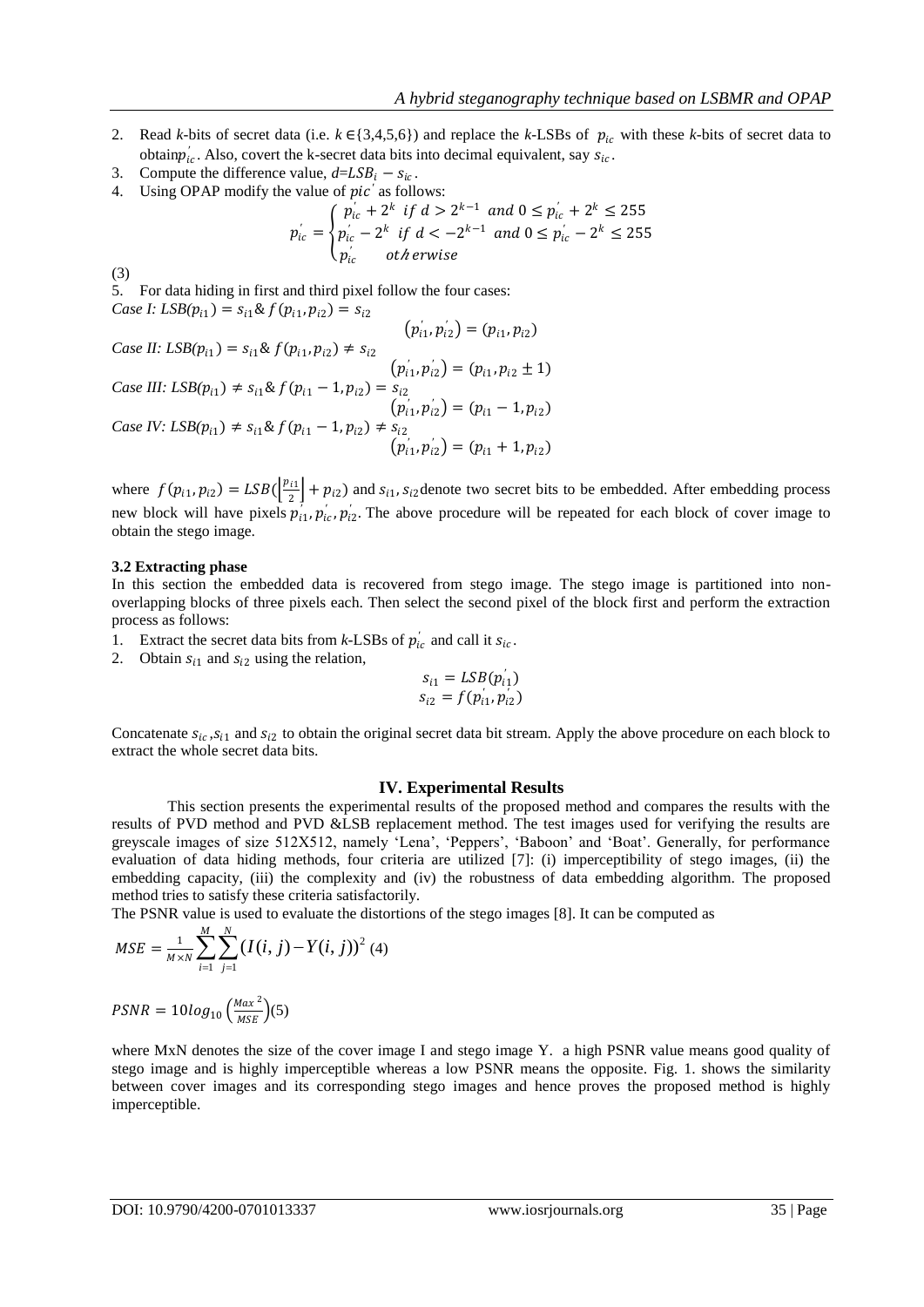- 2. Read *k*-bits of secret data (i.e.  $k \in \{3,4,5,6\}$ ) and replace the *k*-LSBs of  $p_{ic}$  with these *k*-bits of secret data to obtain $p'_{ic}$ . Also, covert the k-secret data bits into decimal equivalent, say  $s_{ic}$ .
- 3. Compute the difference value,  $d = LSB_i s_{ic}$ .
- 4. Using OPAP modify the value of *pic*<sup>'</sup> as follows:

$$
p'_{ic} = \begin{cases} p'_{ic} + 2^k & \text{if } d > 2^{k-1} \text{ and } 0 \le p'_{ic} + 2^k \le 255\\ p'_{ic} - 2^k & \text{if } d < -2^{k-1} \text{ and } 0 \le p'_{ic} - 2^k \le 255\\ p'_{ic} & \text{otherwise} \end{cases}
$$

(3)

5. For data hiding in first and third pixel follow the four cases: *Case I:*  $LSB(p_{i1}) = s_{i1} \& f(p_{i1}, p_{i2}) = s_{i2}$ 

Case II: 
$$
LSB(p_{i1}) = s_{i1} \& f(p_{i1}, p_{i2}) \neq s_{i2}
$$
  
\n
$$
Case III:  $LSB(p_{i1}) \neq s_{i1} \& f(p_{i1} - 1, p_{i2}) = s_{i2}$   
\n
$$
(p'_{i1}, p'_{i2}) = (p_{i1}, p_{i2} \pm 1)
$$
\n
$$
Case IV:  $LSB(p_{i1}) \neq s_{i1} \& f(p_{i1} - 1, p_{i2}) \neq s_{i2}$   
\n
$$
(p'_{i1}, p'_{i2}) = (p_{i1} - 1, p_{i2})
$$
\n
$$
Case IV:  $LSB(p_{i1}) \neq s_{i1} \& f(p_{i1} - 1, p_{i2}) \neq s_{i2}$   
\n
$$
(p'_{i1}, p'_{i2}) = (p_{i1} + 1, p_{i2})
$$
$$
$$
$$

where  $f(p_{i1}, p_{i2}) = LSB(\frac{p_{i1}}{2})$  $\left[\frac{1}{2}\right] + p_{i2}$ ) and  $s_{i1}$ ,  $s_{i2}$  denote two secret bits to be embedded. After embedding process new block will have pixels  $p'_{i1}, p'_{i}$ ,  $p'_{i2}$ . The above procedure will be repeated for each block of cover image to obtain the stego image.

### **3.2 Extracting phase**

In this section the embedded data is recovered from stego image. The stego image is partitioned into nonoverlapping blocks of three pixels each. Then select the second pixel of the block first and perform the extraction process as follows:

- 1. Extract the secret data bits from *k*-LSBs of  $p'_{ic}$  and call it  $s_{ic}$ .
- 2. Obtain  $s_{i1}$  and  $s_{i2}$  using the relation,

$$
s_{i1} = LSB(p'_{i1})
$$
  

$$
s_{i2} = f(p'_{i1}, p'_{i2})
$$

Concatenate  $s_{ic}$ ,  $s_{i1}$  and  $s_{i2}$  to obtain the original secret data bit stream. Apply the above procedure on each block to extract the whole secret data bits.

### **IV. Experimental Results**

This section presents the experimental results of the proposed method and compares the results with the results of PVD method and PVD &LSB replacement method. The test images used for verifying the results are greyscale images of size 512X512, namely 'Lena', 'Peppers', 'Baboon' and 'Boat'. Generally, for performance evaluation of data hiding methods, four criteria are utilized [7]: (i) imperceptibility of stego images, (ii) the embedding capacity, (iii) the complexity and (iv) the robustness of data embedding algorithm. The proposed method tries to satisfy these criteria satisfactorily.

The PSNR value is used to evaluate the distortions of the stego images [8]. It can be computed as

$$
MSE = \frac{1}{M \times N} \sum_{i=1}^{M} \sum_{j=1}^{N} (I(i, j) - Y(i, j))^{2} (4)
$$

 $PSNR = 10log_{10} \left( \frac{Max^2}{MSE} \right)$  $\frac{Wdx}{MSE}$  (5)

where MxN denotes the size of the cover image I and stego image Y. a high PSNR value means good quality of stego image and is highly imperceptible whereas a low PSNR means the opposite. Fig. 1. shows the similarity between cover images and its corresponding stego images and hence proves the proposed method is highly imperceptible.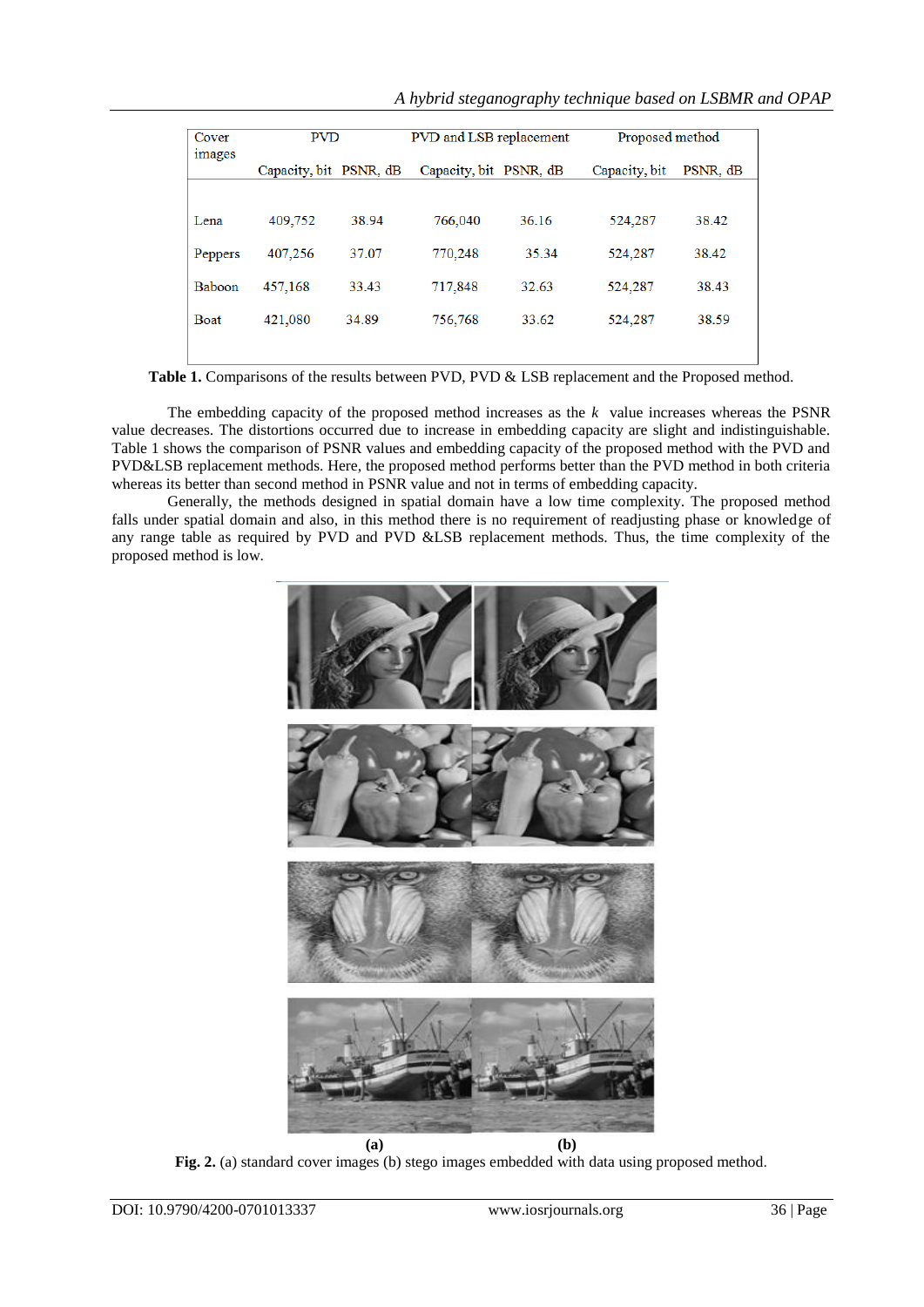*A hybrid steganography technique based on LSBMR and OPAP*

| Cover<br><i>images</i> | <b>PVD</b>             |       | PVD and LSB replacement |       | Proposed method |          |
|------------------------|------------------------|-------|-------------------------|-------|-----------------|----------|
|                        | Capacity, bit PSNR, dB |       | Capacity, bit PSNR, dB  |       | Capacity, bit   | PSNR, dB |
|                        |                        |       |                         |       |                 |          |
| Lena                   | 409,752                | 38.94 | 766,040                 | 36.16 | 524,287         | 38.42    |
| <b>Peppers</b>         | 407,256                | 37.07 | 770,248                 | 35.34 | 524,287         | 38.42    |
| Baboon                 | 457,168                | 33.43 | 717,848                 | 32.63 | 524,287         | 38.43    |
| <b>Boat</b>            | 421,080                | 34.89 | 756,768                 | 33.62 | 524,287         | 38.59    |
|                        |                        |       |                         |       |                 |          |

Table 1. Comparisons of the results between PVD, PVD & LSB replacement and the Proposed method.

The embedding capacity of the proposed method increases as the *k* value increases whereas the PSNR value decreases. The distortions occurred due to increase in embedding capacity are slight and indistinguishable. Table 1 shows the comparison of PSNR values and embedding capacity of the proposed method with the PVD and PVD&LSB replacement methods. Here, the proposed method performs better than the PVD method in both criteria whereas its better than second method in PSNR value and not in terms of embedding capacity.

Generally, the methods designed in spatial domain have a low time complexity. The proposed method falls under spatial domain and also, in this method there is no requirement of readjusting phase or knowledge of any range table as required by PVD and PVD &LSB replacement methods. Thus, the time complexity of the proposed method is low.



**Fig. 2.** (a) standard cover images (b) stego images embedded with data using proposed method.